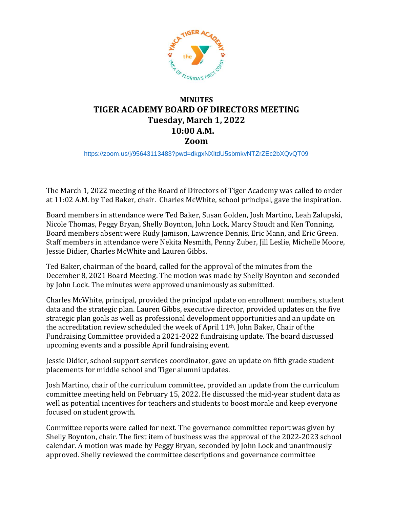

## **MINUTES TIGER ACADEMY BOARD OF DIRECTORS MEETING Tuesday, March 1, 2022 10:00 A.M. Zoom**

<https://zoom.us/j/95643113483?pwd=dkgxNXltdU5sbmkvNTZrZEc2bXQvQT09>

The March 1, 2022 meeting of the Board of Directors of Tiger Academy was called to order at 11:02 A.M. by Ted Baker, chair. Charles McWhite, school principal, gave the inspiration.

Board members in attendance were Ted Baker, Susan Golden, Josh Martino, Leah Zalupski, Nicole Thomas, Peggy Bryan, Shelly Boynton, John Lock, Marcy Stoudt and Ken Tonning. Board members absent were Rudy Jamison, Lawrence Dennis, Eric Mann, and Eric Green. Staff members in attendance were Nekita Nesmith, Penny Zuber, Jill Leslie, Michelle Moore, Jessie Didier, Charles McWhite and Lauren Gibbs.

Ted Baker, chairman of the board, called for the approval of the minutes from the December 8, 2021 Board Meeting. The motion was made by Shelly Boynton and seconded by John Lock. The minutes were approved unanimously as submitted.

Charles McWhite, principal, provided the principal update on enrollment numbers, student data and the strategic plan. Lauren Gibbs, executive director, provided updates on the five strategic plan goals as well as professional development opportunities and an update on the accreditation review scheduled the week of April 11th. John Baker, Chair of the Fundraising Committee provided a 2021-2022 fundraising update. The board discussed upcoming events and a possible April fundraising event.

Jessie Didier, school support services coordinator, gave an update on fifth grade student placements for middle school and Tiger alumni updates.

Josh Martino, chair of the curriculum committee, provided an update from the curriculum committee meeting held on February 15, 2022. He discussed the mid-year student data as well as potential incentives for teachers and students to boost morale and keep everyone focused on student growth.

Committee reports were called for next. The governance committee report was given by Shelly Boynton, chair. The first item of business was the approval of the 2022-2023 school calendar. A motion was made by Peggy Bryan, seconded by John Lock and unanimously approved. Shelly reviewed the committee descriptions and governance committee